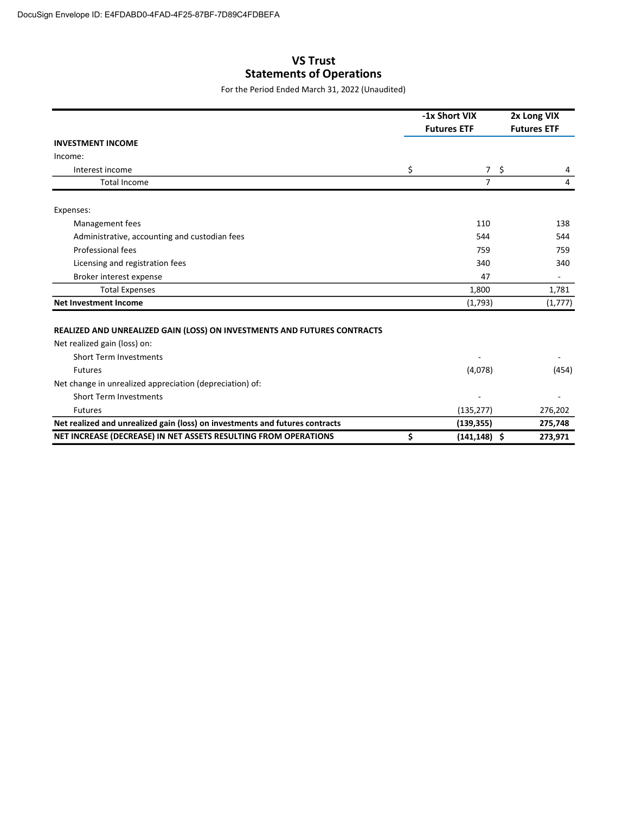## VS Trust Statements of Operations

For the Period Ended March 31, 2022 (Unaudited)

|                                                                                                          | -1x Short VIX         |                 | 2x Long VIX        |  |
|----------------------------------------------------------------------------------------------------------|-----------------------|-----------------|--------------------|--|
|                                                                                                          | <b>Futures ETF</b>    |                 | <b>Futures ETF</b> |  |
| <b>INVESTMENT INCOME</b>                                                                                 |                       |                 |                    |  |
| Income:                                                                                                  |                       |                 |                    |  |
| Interest income                                                                                          | \$                    | $7 \frac{1}{2}$ | 4                  |  |
| <b>Total Income</b>                                                                                      | $\overline{7}$        |                 | 4                  |  |
| Expenses:                                                                                                |                       |                 |                    |  |
| Management fees                                                                                          | 110                   |                 | 138                |  |
| Administrative, accounting and custodian fees                                                            | 544                   |                 | 544                |  |
| Professional fees                                                                                        | 759                   |                 | 759                |  |
| Licensing and registration fees                                                                          | 340                   |                 | 340                |  |
| Broker interest expense                                                                                  | 47                    |                 |                    |  |
| <b>Total Expenses</b>                                                                                    | 1,800                 |                 | 1,781              |  |
| <b>Net Investment Income</b>                                                                             | (1,793)               |                 | (1,777)            |  |
| REALIZED AND UNREALIZED GAIN (LOSS) ON INVESTMENTS AND FUTURES CONTRACTS<br>Net realized gain (loss) on: |                       |                 |                    |  |
| <b>Short Term Investments</b>                                                                            |                       |                 |                    |  |
| <b>Futures</b>                                                                                           | (4,078)               |                 | (454)              |  |
| Net change in unrealized appreciation (depreciation) of:                                                 |                       |                 |                    |  |
| <b>Short Term Investments</b>                                                                            |                       |                 |                    |  |
| <b>Futures</b>                                                                                           | (135, 277)            |                 | 276,202            |  |
| Net realized and unrealized gain (loss) on investments and futures contracts                             | (139, 355)            |                 | 275,748            |  |
| NET INCREASE (DECREASE) IN NET ASSETS RESULTING FROM OPERATIONS                                          | \$<br>$(141, 148)$ \$ |                 | 273,971            |  |